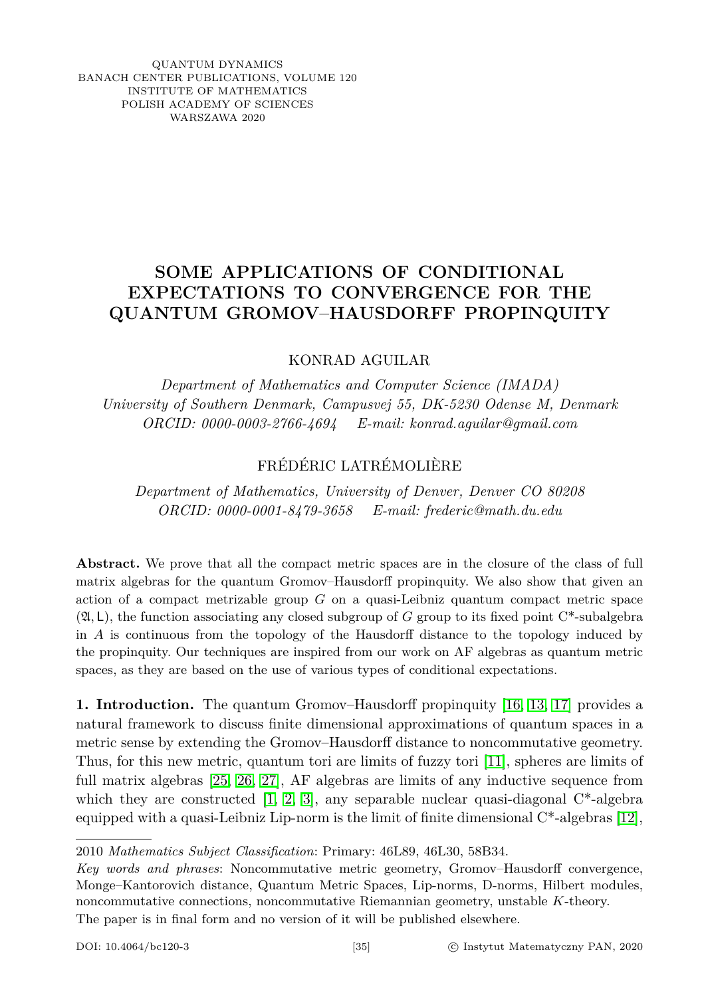QUANTUM DYNAMICS BANACH CENTER PUBLICATIONS, VOLUME 120 INSTITUTE OF MATHEMATICS POLISH ACADEMY OF SCIENCES WARSZAWA 2020

## **SOME APPLICATIONS OF CONDITIONAL EXPECTATIONS TO CONVERGENCE FOR THE QUANTUM GROMOV–HAUSDORFF PROPINQUITY**

KONRAD AGUILAR

*Department of Mathematics and Computer Science (IMADA) University of Southern Denmark, Campusvej 55, DK-5230 Odense M, Denmark ORCID: 0000-0003-2766-4694 E-mail: konrad.aguilar@gmail.com*

## FRÉDÉRIC LATRÉMOLIÈRE

*Department of Mathematics, University of Denver, Denver CO 80208 ORCID: 0000-0001-8479-3658 E-mail: frederic@math.du.edu*

**Abstract.** We prove that all the compact metric spaces are in the closure of the class of full matrix algebras for the quantum Gromov–Hausdorff propinquity. We also show that given an action of a compact metrizable group *G* on a quasi-Leibniz quantum compact metric space  $(\mathfrak{A}, L)$ , the function associating any closed subgroup of *G* group to its fixed point C<sup>\*</sup>-subalgebra in *A* is continuous from the topology of the Hausdorff distance to the topology induced by the propinquity. Our techniques are inspired from our work on AF algebras as quantum metric spaces, as they are based on the use of various types of conditional expectations.

**1. Introduction.** The quantum Gromov–Hausdorff propinquity [\[16,](#page-10-0) [13,](#page-10-1) [17\]](#page-10-2) provides a natural framework to discuss finite dimensional approximations of quantum spaces in a metric sense by extending the Gromov–Hausdorff distance to noncommutative geometry. Thus, for this new metric, quantum tori are limits of fuzzy tori [\[11\]](#page-10-3), spheres are limits of full matrix algebras [\[25,](#page-11-0) [26,](#page-11-1) [27\]](#page-11-2), AF algebras are limits of any inductive sequence from which they are constructed [\[1,](#page-10-4) [2,](#page-10-5) [3\]](#page-10-6), any separable nuclear quasi-diagonal  $C^*$ -algebra equipped with a quasi-Leibniz Lip-norm is the limit of finite dimensional C\*-algebras [\[12\]](#page-10-7),

2010 *Mathematics Subject Classification*: Primary: 46L89, 46L30, 58B34.

*Key words and phrases*: Noncommutative metric geometry, Gromov–Hausdorff convergence, Monge–Kantorovich distance, Quantum Metric Spaces, Lip-norms, D-norms, Hilbert modules, noncommutative connections, noncommutative Riemannian geometry, unstable *K*-theory. The paper is in final form and no version of it will be published elsewhere.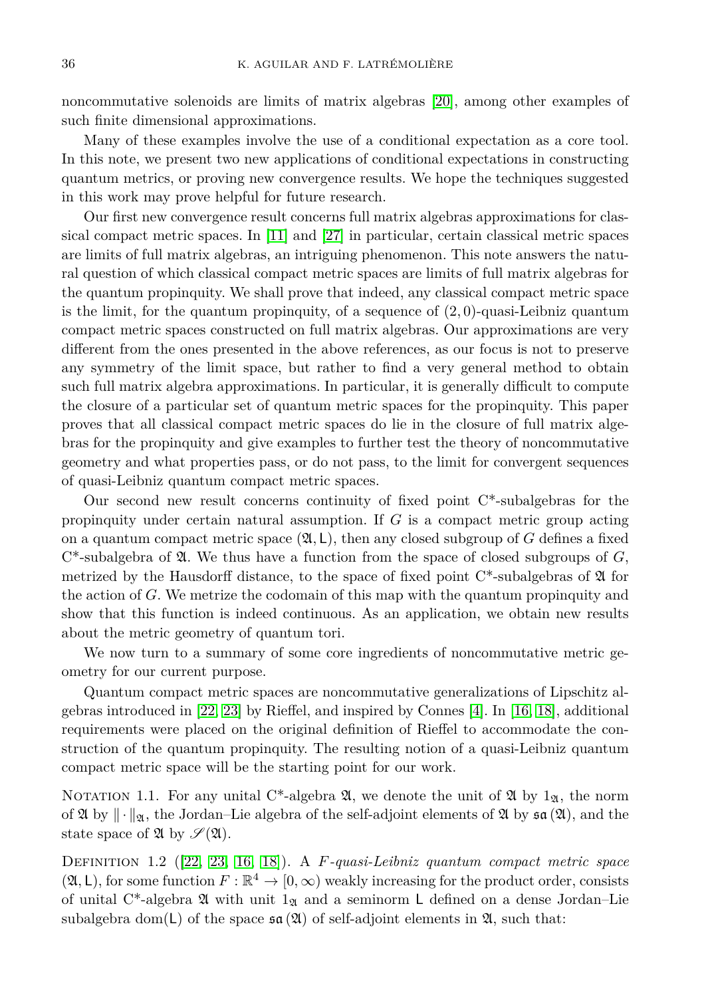noncommutative solenoids are limits of matrix algebras [\[20\]](#page-11-3), among other examples of such finite dimensional approximations.

Many of these examples involve the use of a conditional expectation as a core tool. In this note, we present two new applications of conditional expectations in constructing quantum metrics, or proving new convergence results. We hope the techniques suggested in this work may prove helpful for future research.

Our first new convergence result concerns full matrix algebras approximations for classical compact metric spaces. In [\[11\]](#page-10-3) and [\[27\]](#page-11-2) in particular, certain classical metric spaces are limits of full matrix algebras, an intriguing phenomenon. This note answers the natural question of which classical compact metric spaces are limits of full matrix algebras for the quantum propinquity. We shall prove that indeed, any classical compact metric space is the limit, for the quantum propinquity, of a sequence of  $(2,0)$ -quasi-Leibniz quantum compact metric spaces constructed on full matrix algebras. Our approximations are very different from the ones presented in the above references, as our focus is not to preserve any symmetry of the limit space, but rather to find a very general method to obtain such full matrix algebra approximations. In particular, it is generally difficult to compute the closure of a particular set of quantum metric spaces for the propinquity. This paper proves that all classical compact metric spaces do lie in the closure of full matrix algebras for the propinquity and give examples to further test the theory of noncommutative geometry and what properties pass, or do not pass, to the limit for convergent sequences of quasi-Leibniz quantum compact metric spaces.

Our second new result concerns continuity of fixed point C\*-subalgebras for the propinquity under certain natural assumption. If *G* is a compact metric group acting on a quantum compact metric space  $(\mathfrak{A}, L)$ , then any closed subgroup of *G* defines a fixed  $C^*$ -subalgebra of  $\mathfrak A$ . We thus have a function from the space of closed subgroups of *G*, metrized by the Hausdorff distance, to the space of fixed point  $C^*$ -subalgebras of  $\mathfrak A$  for the action of *G*. We metrize the codomain of this map with the quantum propinquity and show that this function is indeed continuous. As an application, we obtain new results about the metric geometry of quantum tori.

We now turn to a summary of some core ingredients of noncommutative metric geometry for our current purpose.

Quantum compact metric spaces are noncommutative generalizations of Lipschitz algebras introduced in [\[22,](#page-11-4) [23\]](#page-11-5) by Rieffel, and inspired by Connes [\[4\]](#page-10-8). In [\[16,](#page-10-0) [18\]](#page-10-9), additional requirements were placed on the original definition of Rieffel to accommodate the construction of the quantum propinquity. The resulting notion of a quasi-Leibniz quantum compact metric space will be the starting point for our work.

<span id="page-1-0"></span>NOTATION 1.1. For any unital C<sup>\*</sup>-algebra  $\mathfrak{A}$ , we denote the unit of  $\mathfrak{A}$  by 1<sub>2</sub>, the norm of  $\mathfrak A$  by  $\|\cdot\|_{\mathfrak A}$ , the Jordan–Lie algebra of the self-adjoint elements of  $\mathfrak A$  by  $\mathfrak{sa}(\mathfrak A)$ , and the state space of  $\mathfrak{A}$  by  $\mathscr{S}(\mathfrak{A})$ .

Definition 1.2 ([\[22,](#page-11-4) [23,](#page-11-5) [16,](#page-10-0) [18\]](#page-10-9)). A *F-quasi-Leibniz quantum compact metric space*  $(\mathfrak{A}, \mathsf{L})$ , for some function  $F : \mathbb{R}^4 \to [0, \infty)$  weakly increasing for the product order, consists of unital C<sup>\*</sup>-algebra  $\mathfrak A$  with unit  $1_{\mathfrak A}$  and a seminorm L defined on a dense Jordan–Lie subalgebra dom(L) of the space  $\mathfrak{sa}(\mathfrak{A})$  of self-adjoint elements in  $\mathfrak{A}$ , such that: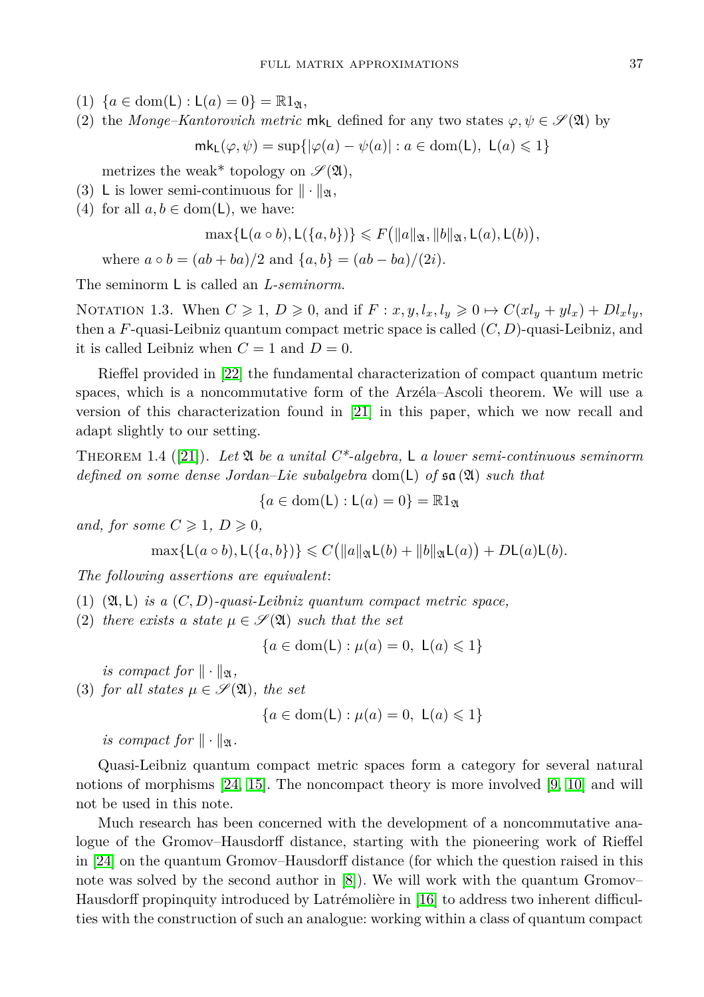- (1)  $\{a \in \text{dom}(\mathsf{L}): \mathsf{L}(a) = 0\} = \mathbb{R}1_{\mathfrak{A}},$
- (2) the *Monge–Kantorovich metric*  $mk_1$  defined for any two states  $\varphi, \psi \in \mathscr{S}(\mathfrak{A})$  by

$$
\mathsf{mk}_\mathsf{L}(\varphi, \psi) = \sup\{|\varphi(a) - \psi(a)| : a \in \text{dom}(\mathsf{L}), \ \mathsf{L}(a) \leqslant 1\}
$$

metrizes the weak\* topology on  $\mathscr{S}(\mathfrak{A}),$ 

- (3) L is lower semi-continuous for  $\|\cdot\|_{\mathfrak{A}}$ ,
- (4) for all  $a, b \in \text{dom}(\mathsf{L})$ , we have:

$$
\max\{\mathsf L(a\circ b),\mathsf L(\{a,b\})\}\leqslant F\big(\|a\|_{\mathfrak A},\|b\|_{\mathfrak A},\mathsf L(a),\mathsf L(b)\big),
$$

where 
$$
a \circ b = (ab + ba)/2
$$
 and  $\{a, b\} = (ab - ba)/(2i)$ .

The seminorm L is called an *L-seminorm*.

NOTATION 1.3. When  $C \geq 1$ ,  $D \geq 0$ , and if  $F: x, y, l_x, l_y \geq 0 \mapsto C(xl_y + yl_x) + Dl_xl_y$ , then a *F*-quasi-Leibniz quantum compact metric space is called (*C, D*)-quasi-Leibniz, and it is called Leibniz when  $C = 1$  and  $D = 0$ .

Rieffel provided in [\[22\]](#page-11-4) the fundamental characterization of compact quantum metric spaces, which is a noncommutative form of the Arzéla–Ascoli theorem. We will use a version of this characterization found in [\[21\]](#page-11-6) in this paper, which we now recall and adapt slightly to our setting.

<span id="page-2-0"></span>THEOREM 1.4 ([\[21\]](#page-11-6)). Let  $\mathfrak A$  be a unital  $C^*$ -algebra, L a lower semi-continuous seminorm *defined on some dense Jordan–Lie subalgebra* dom(L) *of* sa (A) *such that*

$$
\{a \in \text{dom}(\mathsf{L}): \mathsf{L}(a) = 0\} = \mathbb{R}1_{\mathfrak{A}}
$$

*and, for some*  $C \geq 1, D \geq 0$ *,* 

$$
\max\{\mathsf{L}(a\circ b),\mathsf{L}(\{a,b\})\}\leqslant C\big(\|a\|_{\mathfrak{A}}\mathsf{L}(b)+\|b\|_{\mathfrak{A}}\mathsf{L}(a)\big)+D\mathsf{L}(a)\mathsf{L}(b).
$$

*The following assertions are equivalent*:

- (1) (A*,* L) *is a* (*C, D*)*-quasi-Leibniz quantum compact metric space,*
- (2) *there exists a state*  $\mu \in \mathcal{S}(\mathfrak{A})$  *such that the set*

$$
\{a \in \text{dom}(\mathsf{L}) : \mu(a) = 0, \ \mathsf{L}(a) \leq 1\}
$$

*is compact for*  $\|\cdot\|_{\mathfrak{A}}$ *,* (3) *for all states*  $\mu \in \mathscr{S}(\mathfrak{A})$ *, the set* 

$$
\{a \in \text{dom}(\mathsf{L}) : \mu(a) = 0, \ \mathsf{L}(a) \leq 1\}
$$

*is compact for*  $\|\cdot\|_{\mathfrak{A}}$ .

Quasi-Leibniz quantum compact metric spaces form a category for several natural notions of morphisms [\[24,](#page-11-7) [15\]](#page-10-10). The noncompact theory is more involved [\[9,](#page-10-11) [10\]](#page-10-12) and will not be used in this note.

Much research has been concerned with the development of a noncommutative analogue of the Gromov–Hausdorff distance, starting with the pioneering work of Rieffel in [\[24\]](#page-11-7) on the quantum Gromov–Hausdorff distance (for which the question raised in this note was solved by the second author in [\[8\]](#page-10-13)). We will work with the quantum Gromov– Hausdorff propinquity introduced by Latrémolière in [\[16\]](#page-10-0) to address two inherent difficulties with the construction of such an analogue: working within a class of quantum compact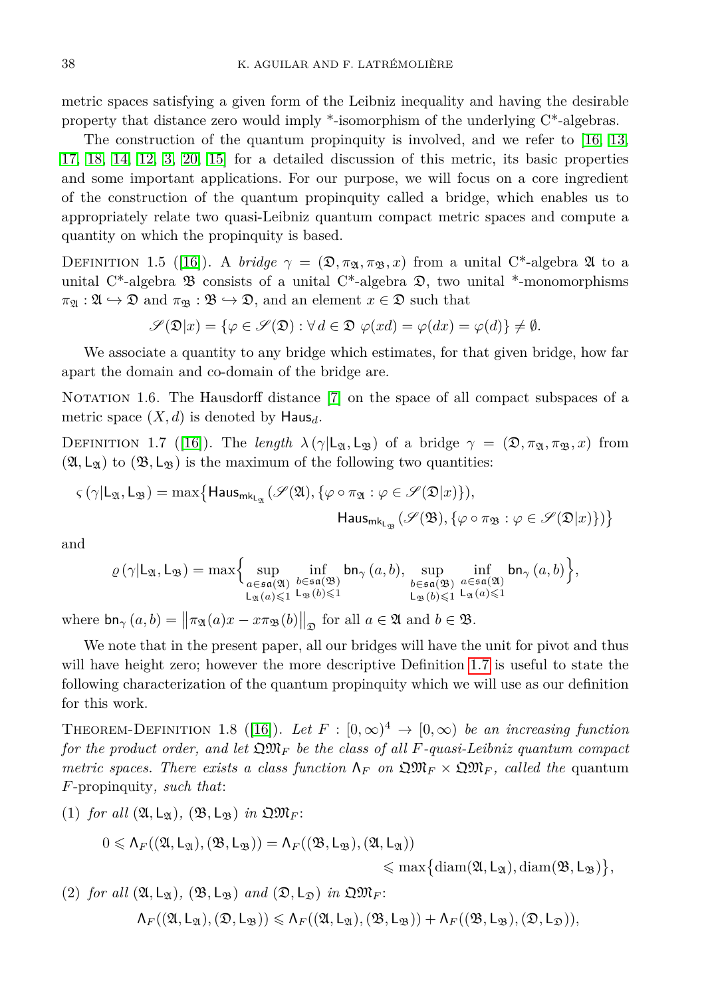metric spaces satisfying a given form of the Leibniz inequality and having the desirable property that distance zero would imply \*-isomorphism of the underlying C\*-algebras.

The construction of the quantum propinquity is involved, and we refer to [\[16,](#page-10-0) [13,](#page-10-1) [17,](#page-10-2) [18,](#page-10-9) [14,](#page-10-14) [12,](#page-10-7) [3,](#page-10-6) [20,](#page-11-3) [15\]](#page-10-10) for a detailed discussion of this metric, its basic properties and some important applications. For our purpose, we will focus on a core ingredient of the construction of the quantum propinquity called a bridge, which enables us to appropriately relate two quasi-Leibniz quantum compact metric spaces and compute a quantity on which the propinquity is based.

<span id="page-3-1"></span>DEFINITION 1.5 ([\[16\]](#page-10-0)). A *bridge*  $\gamma = (\mathfrak{D}, \pi_{\mathfrak{A}}, \pi_{\mathfrak{B}}, x)$  from a unital C<sup>\*</sup>-algebra  $\mathfrak{A}$  to a unital C<sup>\*</sup>-algebra  $\mathfrak{B}$  consists of a unital C<sup>\*</sup>-algebra  $\mathfrak{D}$ , two unital  $\mathfrak{F}$ -monomorphisms  $\pi_{\mathfrak{A}} : \mathfrak{A} \hookrightarrow \mathfrak{D}$  and  $\pi_{\mathfrak{B}} : \mathfrak{B} \hookrightarrow \mathfrak{D}$ , and an element  $x \in \mathfrak{D}$  such that

$$
\mathscr{S}(\mathfrak{D}|x) = \{ \varphi \in \mathscr{S}(\mathfrak{D}) : \forall d \in \mathfrak{D} \varphi(xd) = \varphi(dx) = \varphi(d) \} \neq \emptyset.
$$

We associate a quantity to any bridge which estimates, for that given bridge, how far apart the domain and co-domain of the bridge are.

NOTATION 1.6. The Hausdorff distance  $[7]$  on the space of all compact subspaces of a metric space  $(X, d)$  is denoted by Haus<sub>d</sub>.

<span id="page-3-0"></span>DEFINITION 1.7 ([\[16\]](#page-10-0)). The *length*  $\lambda(\gamma | L_{\mathfrak{A}}, L_{\mathfrak{B}})$  of a bridge  $\gamma = (\mathfrak{D}, \pi_{\mathfrak{A}}, \pi_{\mathfrak{B}}, x)$  from  $(\mathfrak{A}, \mathsf{L}_{\mathfrak{A}})$  to  $(\mathfrak{B}, \mathsf{L}_{\mathfrak{B}})$  is the maximum of the following two quantities:

$$
\varsigma(\gamma|L_{\mathfrak{A}},L_{\mathfrak{B}}) = \max \{ \mathrm{Haus}_{\mathsf{mkt}_{\mathfrak{A}}}(\mathscr{S}(\mathfrak{A}), \{\varphi \circ \pi_{\mathfrak{A}} : \varphi \in \mathscr{S}(\mathfrak{D}|x)\}),\
$$

$$
\mathrm{Haus}_{\mathsf{mkt}_{\mathfrak{B}}}(\mathscr{S}(\mathfrak{B}), \{\varphi \circ \pi_{\mathfrak{B}} : \varphi \in \mathscr{S}(\mathfrak{D}|x)\})\}
$$

and

$$
\varrho\left(\gamma|{\mathsf{L}}_{\mathfrak{A}},{\mathsf{L}}_{\mathfrak{B}}\right) = \max\Bigl\{\sup_{\substack{a \in \mathfrak{sa}(\mathfrak{A}) \\ {\mathsf{L}}_{\mathfrak{A}}(a) \leqslant 1}} \inf_{\substack{b \in \mathfrak{sa}(\mathfrak{B}) \\ {\mathsf{L}}_{\mathfrak{B}}(b) \leqslant 1}} \mathsf{bn}_{\gamma}\left(a,b\right), \sup_{\substack{b \in \mathfrak{sa}(\mathfrak{B}) \\ {\mathsf{L}}_{\mathfrak{B}}(b) \leqslant 1}} \inf_{\substack{a \in \mathfrak{sa}(\mathfrak{A}) \\ {\mathsf{L}}_{\mathfrak{B}}(b) \leqslant 1}} \mathsf{bn}_{\gamma}\left(a,b\right)\Bigr\},
$$

where  $\text{bn}_{\gamma}(a, b) = ||\pi_{\mathfrak{A}}(a)x - x\pi_{\mathfrak{B}}(b)||_{\mathfrak{D}}$  for all  $a \in \mathfrak{A}$  and  $b \in \mathfrak{B}$ .

We note that in the present paper, all our bridges will have the unit for pivot and thus will have height zero; however the more descriptive Definition [1.7](#page-3-0) is useful to state the following characterization of the quantum propinquity which we will use as our definition for this work.

<span id="page-3-2"></span>THEOREM-DEFINITION 1.8 ([\[16\]](#page-10-0)). Let  $F : [0, \infty)^4 \to [0, \infty)$  be an increasing function *for the product order, and let* QM*<sup>F</sup> be the class of all F-quasi-Leibniz quantum compact metric spaces. There exists a class function*  $\Lambda_F$  *on*  $\mathfrak{Q} \mathfrak{M}_F \times \mathfrak{Q} \mathfrak{M}_F$ , called the quantum *F*-propinquity*, such that*:

(1) *for all*  $(\mathfrak{A}, \mathsf{L}_{\mathfrak{A}})$ ,  $(\mathfrak{B}, \mathsf{L}_{\mathfrak{B}})$  *in*  $\mathfrak{Q} \mathfrak{M}_F$ :

$$
0 \leqslant \Lambda_F((\mathfrak{A},\mathsf{L}_{\mathfrak{A}}),(\mathfrak{B},\mathsf{L}_{\mathfrak{B}})) = \Lambda_F((\mathfrak{B},\mathsf{L}_{\mathfrak{B}}),(\mathfrak{A},\mathsf{L}_{\mathfrak{A}}))
$$

 $\leqslant \max\{\text{diam}(\mathfrak{A}, \mathsf{L}_{\mathfrak{A}}), \text{diam}(\mathfrak{B}, \mathsf{L}_{\mathfrak{B}})\},$ 

(2) *for all*  $(\mathfrak{A}, \mathsf{L}_{\mathfrak{A}})$ *,*  $(\mathfrak{B}, \mathsf{L}_{\mathfrak{B}})$  *and*  $(\mathfrak{D}, \mathsf{L}_{\mathfrak{D}})$  *in*  $\mathfrak{Q} \mathfrak{M}_F$ :

 $\Lambda_F((\mathfrak{A}, \mathsf{L}_{\mathfrak{A}}), (\mathfrak{D}, \mathsf{L}_{\mathfrak{B}})) \leqslant \Lambda_F((\mathfrak{A}, \mathsf{L}_{\mathfrak{A}}), (\mathfrak{B}, \mathsf{L}_{\mathfrak{B}})) + \Lambda_F((\mathfrak{B}, \mathsf{L}_{\mathfrak{B}}), (\mathfrak{D}, \mathsf{L}_{\mathfrak{D}})),$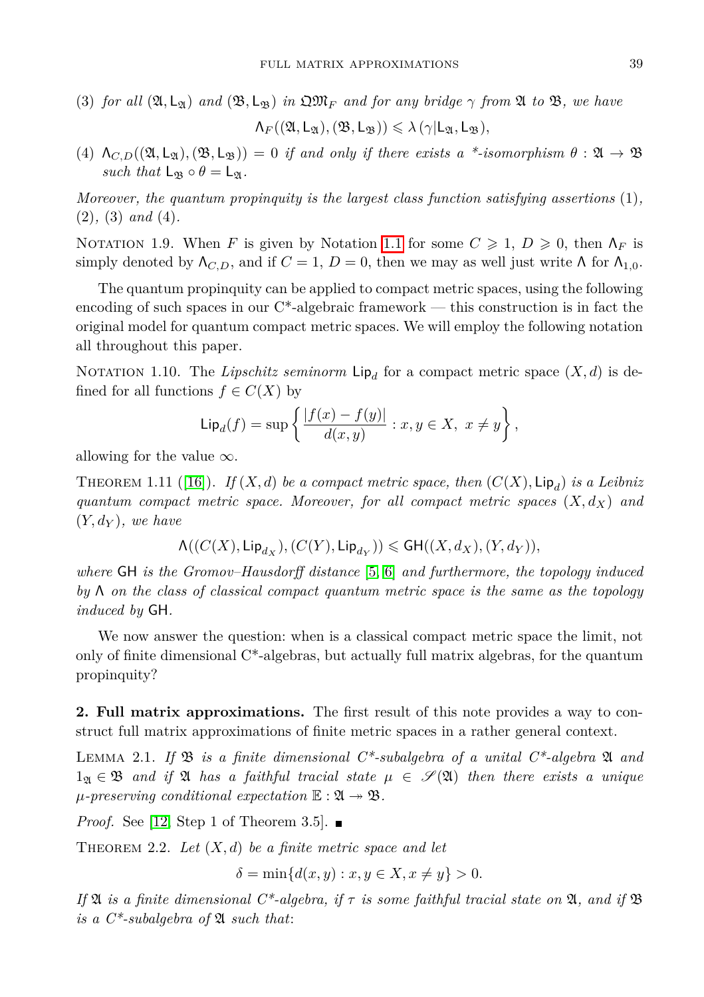- (3) *for all*  $(\mathfrak{A}, \mathsf{L}_{\mathfrak{A}})$  *and*  $(\mathfrak{B}, \mathsf{L}_{\mathfrak{B}})$  *in*  $\mathfrak{Q} \mathfrak{M}_F$  *and for any bridge*  $\gamma$  *from*  $\mathfrak{A}$  *to*  $\mathfrak{B}$ *, we have*  $\Lambda_F((\mathfrak{A}, L_{\mathfrak{A}}), (\mathfrak{B}, L_{\mathfrak{B}})) \leqslant \lambda(\gamma | L_{\mathfrak{A}}, L_{\mathfrak{B}}),$
- (4)  $\Lambda_{C,D}((\mathfrak{A}, \mathsf{L}_{\mathfrak{A}}), (\mathfrak{B}, \mathsf{L}_{\mathfrak{B}})) = 0$  *if and only if there exists a \*-isomorphism*  $\theta : \mathfrak{A} \to \mathfrak{B}$ *such that*  $L_{\mathfrak{B}} \circ \theta = L_{\mathfrak{A}}$ .

*Moreover, the quantum propinquity is the largest class function satisfying assertions* (1)*,* (2)*,* (3) *and* (4)*.*

NOTATION 1.9. When *F* is given by Notation [1.1](#page-1-0) for some  $C \geq 1, D \geq 0$ , then  $\Lambda_F$  is simply denoted by  $\Lambda_{C,D}$ , and if  $C = 1$ ,  $D = 0$ , then we may as well just write  $\Lambda$  for  $\Lambda_{1,0}$ .

The quantum propinquity can be applied to compact metric spaces, using the following encoding of such spaces in our  $C^*$ -algebraic framework — this construction is in fact the original model for quantum compact metric spaces. We will employ the following notation all throughout this paper.

NOTATION 1.10. The *Lipschitz seminorm*  $\text{Lip}_d$  for a compact metric space  $(X, d)$  is defined for all functions  $f \in C(X)$  by

$$
\mathrm{Lip}_d(f)=\sup\left\{\frac{|f(x)-f(y)|}{d(x,y)}: x,y\in X,\ x\neq y\right\},
$$

allowing for the value  $\infty$ .

THEOREM 1.11 ([\[16\]](#page-10-0)). *If*  $(X, d)$  *be a compact metric space, then*  $(C(X), Lip_d)$  *is a Leibniz quantum compact metric space. Moreover, for all compact metric spaces*  $(X, d_X)$  and  $(Y, d_Y)$ *, we have* 

$$
\operatorname{A}((C(X),\operatorname{Lip}_{d_X}),(C(Y),\operatorname{Lip}_{d_Y}))\leqslant \operatorname{GH}((X,d_X),(Y,d_Y)),
$$

*where* GH *is the Gromov–Hausdorff distance* [\[5,](#page-10-16) [6\]](#page-10-17) *and furthermore, the topology induced by* Λ *on the class of classical compact quantum metric space is the same as the topology induced by* GH*.*

We now answer the question: when is a classical compact metric space the limit, not only of finite dimensional  $C^*$ -algebras, but actually full matrix algebras, for the quantum propinquity?

**2. Full matrix approximations.** The first result of this note provides a way to construct full matrix approximations of finite metric spaces in a rather general context.

LEMMA 2.1. If  $\mathfrak{B}$  *is a finite dimensional*  $C^*$ -subalgebra of a unital  $C^*$ -algebra  $\mathfrak{A}$  and  $1_{\mathfrak{A}} \in \mathfrak{B}$  and if  $\mathfrak{A}$  has a faithful tracial state  $\mu \in \mathscr{S}(\mathfrak{A})$  then there exists a unique  $\mu$ -preserving conditional expectation  $\mathbb{E}: \mathfrak{A} \rightarrow \mathfrak{B}$ .

*Proof.* See [\[12,](#page-10-7) Step 1 of Theorem 3.5].  $\blacksquare$ 

<span id="page-4-0"></span>THEOREM 2.2. Let  $(X, d)$  be a finite metric space and let

 $\delta = \min\{d(x, y) : x, y \in X, x \neq y\} > 0.$ 

*If*  $\mathfrak A$  *is a finite dimensional*  $C^*$ -algebra, if  $\tau$  *is some faithful tracial state on*  $\mathfrak A$ *, and if*  $\mathfrak B$ *is a*  $C^*$ *-subalgebra of*  $\mathfrak A$  *such that:*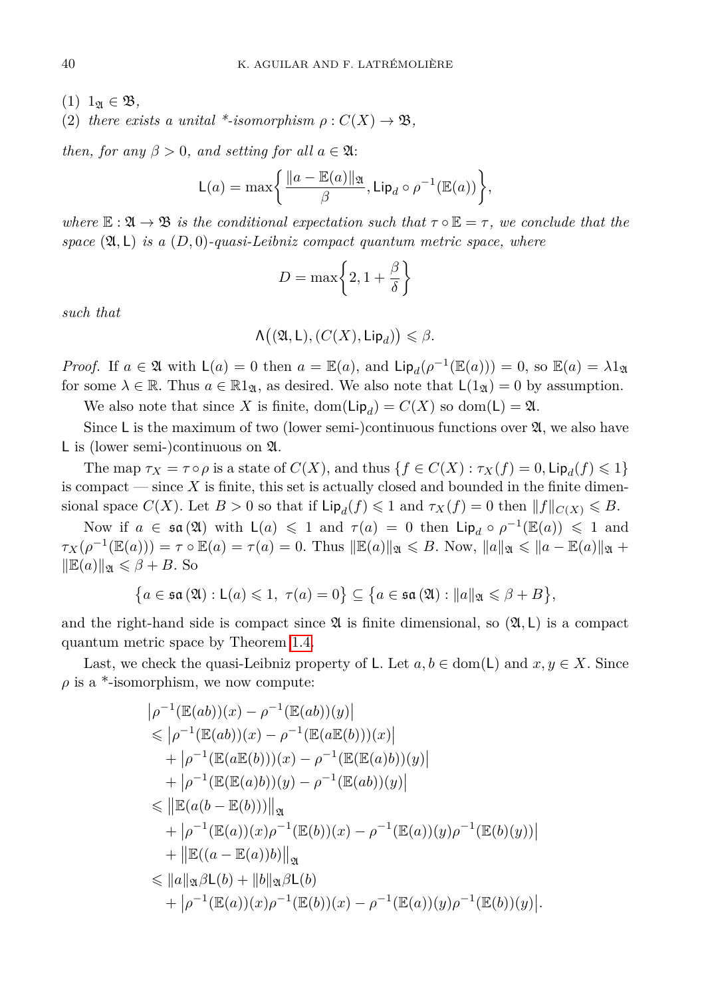- $(1)$  1<sub>24</sub>  $\in \mathfrak{B}$ ,
- (2) *there exists a unital* \*-*isomorphism*  $\rho: C(X) \to \mathfrak{B}$ ,

*then, for any*  $\beta > 0$ *, and setting for all*  $a \in \mathfrak{A}$ :

$$
\mathsf L (a) = \max \biggl\{ \frac{\|a - \mathbb E (a)\|_{\mathfrak A}}{\beta}, \mathsf{Lip}_d \circ \rho^{-1}(\mathbb E (a)) \biggr\},
$$

*where*  $\mathbb{E}: \mathfrak{A} \to \mathfrak{B}$  *is the conditional expectation such that*  $\tau \circ \mathbb{E} = \tau$ *, we conclude that the space* (A*,* L) *is a* (*D,* 0)*-quasi-Leibniz compact quantum metric space, where*

$$
D = \max\left\{2, 1 + \frac{\beta}{\delta}\right\}
$$

*such that*

$$
\Lambda\bigl(({\mathfrak{A}},{\mathsf{L}}), (C(X),{\mathsf{Lip}}_d)\bigr)\leqslant \beta.
$$

*Proof.* If  $a \in \mathfrak{A}$  with  $\mathsf{L}(a) = 0$  then  $a = \mathbb{E}(a)$ , and  $\mathsf{Lip}_d(\rho^{-1}(\mathbb{E}(a))) = 0$ , so  $\mathbb{E}(a) = \lambda 1_{\mathfrak{A}}$ for some  $\lambda \in \mathbb{R}$ . Thus  $a \in \mathbb{R}1_{\mathfrak{A}}$ , as desired. We also note that  $L(1_{\mathfrak{A}}) = 0$  by assumption.

We also note that since *X* is finite,  $dom(\text{Lip}_d) = C(X)$  so  $dom(\text{L}) = \mathfrak{A}$ .

Since L is the maximum of two (lower semi-)continuous functions over  $\mathfrak{A}$ , we also have L is (lower semi-)continuous on A.

The map  $\tau_X = \tau \circ \rho$  is a state of  $C(X)$ , and thus  $\{f \in C(X) : \tau_X(f) = 0, \text{Lip}_d(f) \leq 1\}$ is compact  $\equiv$  since X is finite, this set is actually closed and bounded in the finite dimensional space  $C(X)$ . Let  $B > 0$  so that if  $\text{Lip}_d(f) \leq 1$  and  $\tau_X(f) = 0$  then  $||f||_{C(X)} \leq B$ .

Now if  $a \in \mathfrak{sa}(\mathfrak{A})$  with  $\mathsf{L}(a) \leq 1$  and  $\tau(a) = 0$  then  $\mathsf{Lip}_d \circ \rho^{-1}(\mathbb{E}(a)) \leq 1$  and  $\tau_X(\rho^{-1}(\mathbb{E}(a))) = \tau \circ \mathbb{E}(a) = \tau(a) = 0$ . Thus  $\|\mathbb{E}(a)\|_{\mathfrak{A}} \leq B$ . Now,  $\|a\|_{\mathfrak{A}} \leq \|a - \mathbb{E}(a)\|_{\mathfrak{A}} +$  $\Vert \mathbb{E}(a) \Vert_{\mathfrak{A}} \leqslant \beta + B$ . So

$$
\big\{a\in \mathfrak{sa}\left(\mathfrak{A}\right): \mathsf{L}(a)\leqslant 1,\ \tau(a)=0 \big\}\subseteq \big\{a\in \mathfrak{sa}\left(\mathfrak{A}\right): \|a\|_{\mathfrak{A}}\leqslant \beta + B \big\},
$$

and the right-hand side is compact since  $\mathfrak A$  is finite dimensional, so  $(\mathfrak A, L)$  is a compact quantum metric space by Theorem [1.4.](#page-2-0)

Last, we check the quasi-Leibniz property of L. Let  $a, b \in \text{dom}(\mathsf{L})$  and  $x, y \in X$ . Since  $\rho$  is a \*-isomorphism, we now compute:

$$
\begin{split}\n&\left|\rho^{-1}(\mathbb{E}(ab))(x) - \rho^{-1}(\mathbb{E}(ab))(y)\right| \\
&\leq \left|\rho^{-1}(\mathbb{E}(ab))(x) - \rho^{-1}(\mathbb{E}(a\mathbb{E}(b)))(x)\right| \\
&+ \left|\rho^{-1}(\mathbb{E}(a\mathbb{E}(b)))(x) - \rho^{-1}(\mathbb{E}(\mathbb{E}(a)b))(y)\right| \\
&+ \left|\rho^{-1}(\mathbb{E}(\mathbb{E}(a)b))(y) - \rho^{-1}(\mathbb{E}(ab))(y)\right| \\
&\leq \left|\left|\mathbb{E}(a(b - \mathbb{E}(b)))\right|\right|_{\mathfrak{A}} \\
&+ \left|\rho^{-1}(\mathbb{E}(a))(x)\rho^{-1}(\mathbb{E}(b))(x) - \rho^{-1}(\mathbb{E}(a))(y)\rho^{-1}(\mathbb{E}(b)(y))\right| \\
&+ \left|\left|\mathbb{E}((a - \mathbb{E}(a))b)\right|\right|_{\mathfrak{A}} \\
&\leq \|a\|_{\mathfrak{A}}\beta L(b) + \|b\|_{\mathfrak{A}}\beta L(b) \\
&+ \left|\rho^{-1}(\mathbb{E}(a))(x)\rho^{-1}(\mathbb{E}(b))(x) - \rho^{-1}(\mathbb{E}(a))(y)\rho^{-1}(\mathbb{E}(b))(y)\right|.\n\end{split}
$$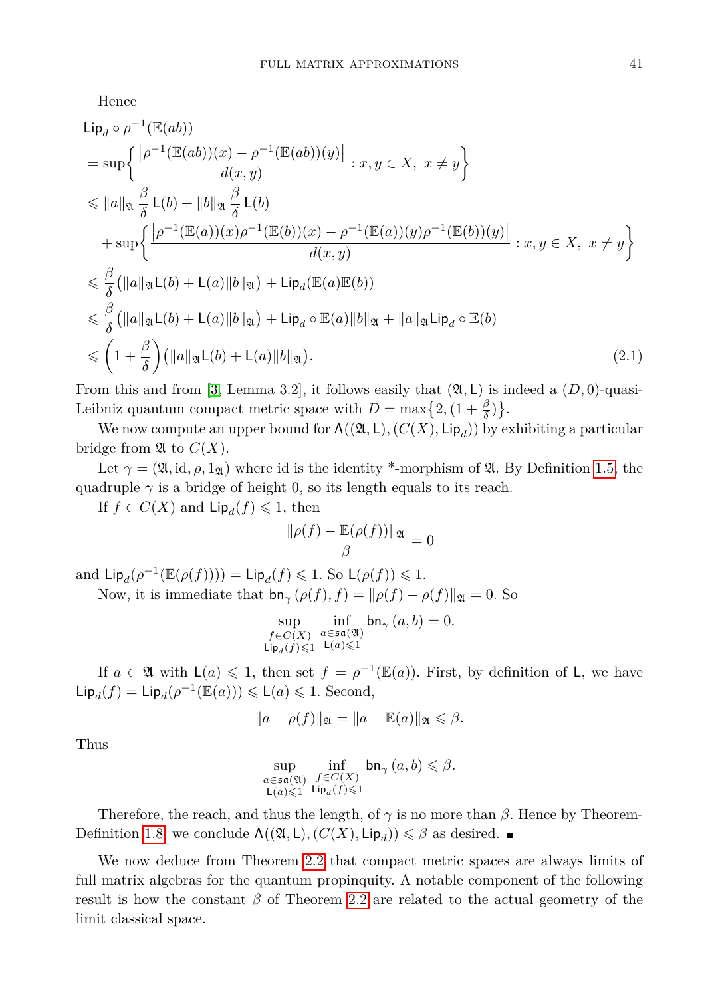Hence

$$
\begin{split}\n\text{Lip}_{d} &\circ \rho^{-1}(\mathbb{E}(ab)) \\
&= \sup \left\{ \frac{\left|\rho^{-1}(\mathbb{E}(ab))(x) - \rho^{-1}(\mathbb{E}(ab))(y)\right|}{d(x,y)} : x, y \in X, \ x \neq y \right\} \\
&\leq \|a\|_{\mathfrak{A}} \frac{\beta}{\delta} \mathsf{L}(b) + \|b\|_{\mathfrak{A}} \frac{\beta}{\delta} \mathsf{L}(b) \\
&\quad + \sup \left\{ \frac{\left|\rho^{-1}(\mathbb{E}(a))(x)\rho^{-1}(\mathbb{E}(b))(x) - \rho^{-1}(\mathbb{E}(a))(y)\rho^{-1}(\mathbb{E}(b))(y)\right|}{d(x,y)} : x, y \in X, \ x \neq y \right\} \\
&\leq \frac{\beta}{\delta} \left( \|a\|_{\mathfrak{A}} \mathsf{L}(b) + \mathsf{L}(a)\|b\|_{\mathfrak{A}} \right) + \mathsf{Lip}_{d}(\mathbb{E}(a)\mathbb{E}(b)) \\
&\leq \frac{\beta}{\delta} \left( \|a\|_{\mathfrak{A}} \mathsf{L}(b) + \mathsf{L}(a)\|b\|_{\mathfrak{A}} \right) + \mathsf{Lip}_{d} \circ \mathbb{E}(a)\|b\|_{\mathfrak{A}} + \|a\|_{\mathfrak{A}} \mathsf{Lip}_{d} \circ \mathbb{E}(b) \\
&\leq \left( 1 + \frac{\beta}{\delta} \right) \left( \|a\|_{\mathfrak{A}} \mathsf{L}(b) + \mathsf{L}(a)\|b\|_{\mathfrak{A}} \right). \n\end{split} \tag{2.1}
$$

From this and from [\[3,](#page-10-6) Lemma 3.2], it follows easily that  $(\mathfrak{A}, L)$  is indeed a  $(D, 0)$ -quasi-Leibniz quantum compact metric space with  $D = \max\{2, (1 + \frac{\beta}{\delta})\}.$ 

We now compute an upper bound for  $\mathsf{A}((\mathfrak{A},\mathsf{L}), (C(X),\mathsf{Lip}_d))$  by exhibiting a particular bridge from  $\mathfrak{A}$  to  $C(X)$ .

Let  $\gamma = (\mathfrak{A}, \mathrm{id}, \rho, 1_{\mathfrak{A}})$  where id is the identity \*-morphism of  $\mathfrak{A}$ . By Definition [1.5,](#page-3-1) the quadruple  $\gamma$  is a bridge of height 0, so its length equals to its reach.

If  $f \in C(X)$  and  $\text{Lip}_d(f) \leq 1$ , then

$$
\frac{\|\rho(f)-\mathbb{E}(\rho(f))\|_{\mathfrak{A}}}{\beta}=0
$$

and  $\textsf{Lip}_d(\rho^{-1}(\mathbb{E}(\rho(f)))) = \textsf{Lip}_d(f) \leq 1$ . So  $\textsf{L}(\rho(f)) \leq 1$ .

Now, it is immediate that  $\mathsf{bn}_{\gamma}(\rho(f), f) = ||\rho(f) - \rho(f)||_{\mathfrak{A}} = 0$ . So

$$
\sup_{\substack{f \in C(X) \\ \mathrm{Lip}_d(f) \leqslant 1}} \inf_{\substack{a \in \mathfrak{sa}(\mathfrak{A}) \\ \mathrm{Lig}_d(\mathfrak{A}) \leqslant 1}} \mathrm{bn}_{\gamma}(a, b) = 0.
$$

If  $a \in \mathfrak{A}$  with  $\mathsf{L}(a) \leq 1$ , then set  $f = \rho^{-1}(\mathbb{E}(a))$ . First, by definition of L, we have  $\mathsf{Lip}_d(f) = \mathsf{Lip}_d(\rho^{-1}(\mathbb{E}(a))) \leq \mathsf{L}(a) \leq 1$ . Second,

$$
||a - \rho(f)||_{\mathfrak{A}} = ||a - \mathbb{E}(a)||_{\mathfrak{A}} \leq \beta.
$$

Thus

$$
\sup_{\substack{a\in \mathfrak{sa}(\mathfrak{A})\\ \mathsf{L}(a)\leqslant 1}}\inf_{\substack{f\in C(X)\\ \mathsf{Lip}_d(f)\leqslant 1}}\mathsf{bn}_{\gamma}\left(a,b\right)\leqslant \beta.
$$

Therefore, the reach, and thus the length, of  $\gamma$  is no more than  $\beta$ . Hence by Theorem-Definition [1.8,](#page-3-2) we conclude  $\Lambda((\mathfrak{A}, \mathsf{L}), (C(X), \mathsf{Lip}_d)) \leq \beta$  as desired.

<span id="page-6-0"></span>We now deduce from Theorem [2.2](#page-4-0) that compact metric spaces are always limits of full matrix algebras for the quantum propinquity. A notable component of the following result is how the constant  $\beta$  of Theorem [2.2](#page-4-0) are related to the actual geometry of the limit classical space.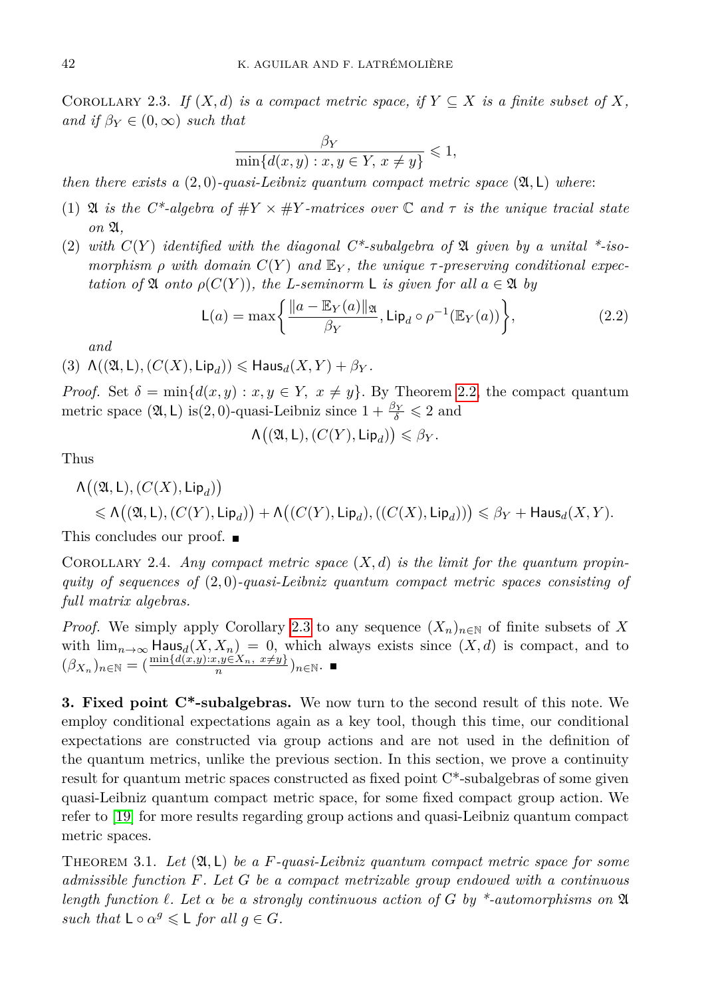COROLLARY 2.3. *If*  $(X, d)$  *is a compact metric space, if*  $Y \subseteq X$  *is a finite subset of*  $X$ *, and if*  $\beta_Y \in (0, \infty)$  *such that* 

$$
\frac{\beta_Y}{\min\{d(x,y):x,y\in Y,\,x\neq y\}}\leqslant 1,
$$

*then there exists a*  $(2,0)$ *-quasi-Leibniz quantum compact metric space*  $(2, L)$  *where:* 

- (1)  $\mathfrak A$  *is the C\*-algebra of*  $\#Y \times \#Y$ *-matrices over*  $\mathbb C$  *and*  $\tau$  *is the unique tracial state on* A*,*
- (2) with  $C(Y)$  identified with the diagonal  $C^*$ -subalgebra of  $\mathfrak A$  given by a unital  $*$ -iso*morphism*  $\rho$  *with domain*  $C(Y)$  *and*  $\mathbb{E}_Y$ *, the unique*  $\tau$ -preserving conditional expec*tation of*  $\mathfrak A$  *onto*  $\rho(C(Y))$ *, the L-seminorm* L *is given for all*  $a \in \mathfrak A$  *by*

$$
\mathsf{L}(a) = \max\bigg\{\frac{\|a - \mathbb{E}_Y(a)\|_{\mathfrak{A}}}{\beta_Y}, \text{Lip}_d \circ \rho^{-1}(\mathbb{E}_Y(a))\bigg\},\tag{2.2}
$$

*and*

 $(3)$   $\Lambda((\mathfrak{A}, \mathsf{L}), (C(X), \mathsf{Lip}_d)) \leqslant \mathsf{Haus}_d(X, Y) + \beta_Y.$ 

*Proof.* Set  $\delta = \min\{d(x, y) : x, y \in Y, x \neq y\}$ . By Theorem [2.2,](#page-4-0) the compact quantum metric space  $(\mathfrak{A}, \mathsf{L})$  is $(2, 0)$ -quasi-Leibniz since  $1 + \frac{\beta_Y}{\delta} \leq 2$  and

$$
\Lambda\big((\mathfrak{A},\mathsf{L}), (C(Y),\mathsf{Lip}_d)\big)\leqslant \beta_Y.
$$

Thus

$$
\Lambda\big((\mathfrak{A},\mathsf{L}),(C(X),\mathsf{Lip}_d)\big)\\ \leqslant \Lambda\big((\mathfrak{A},\mathsf{L}),(C(Y),\mathsf{Lip}_d)\big)+\Lambda\big((C(Y),\mathsf{Lip}_d),\big((C(X),\mathsf{Lip}_d)\big)\big)\leqslant \beta_Y+\mathsf{Haus}_d(X,Y).
$$

This concludes our proof. ■

COROLLARY 2.4. *Any compact metric space*  $(X,d)$  *is the limit for the quantum propinquity of sequences of* (2*,* 0)*-quasi-Leibniz quantum compact metric spaces consisting of full matrix algebras.*

*Proof.* We simply apply Corollary [2.3](#page-6-0) to any sequence  $(X_n)_{n\in\mathbb{N}}$  of finite subsets of X with  $\lim_{n\to\infty}$  Haus<sub>d</sub>(*X, X<sub>n</sub>*) = 0, which always exists since  $(X,d)$  is compact, and to  $(\beta_{X_n})_{n \in \mathbb{N}} = (\frac{\min\{d(x,y):x,y \in X_n, x \neq y\}}{n})_{n \in \mathbb{N}}.$ 

**3. Fixed point C\*-subalgebras.** We now turn to the second result of this note. We employ conditional expectations again as a key tool, though this time, our conditional expectations are constructed via group actions and are not used in the definition of the quantum metrics, unlike the previous section. In this section, we prove a continuity result for quantum metric spaces constructed as fixed point C\*-subalgebras of some given quasi-Leibniz quantum compact metric space, for some fixed compact group action. We refer to [\[19\]](#page-10-18) for more results regarding group actions and quasi-Leibniz quantum compact metric spaces.

<span id="page-7-0"></span>Theorem 3.1. *Let* (A*,* L) *be a F-quasi-Leibniz quantum compact metric space for some admissible function F. Let G be a compact metrizable group endowed with a continuous length function*  $\ell$ . Let  $\alpha$  *be a strongly continuous action of*  $G$  *by \*-automorphisms on*  $\mathfrak{A}$ *such that*  $L \circ \alpha^g \leq L$  *for all*  $g \in G$ *.*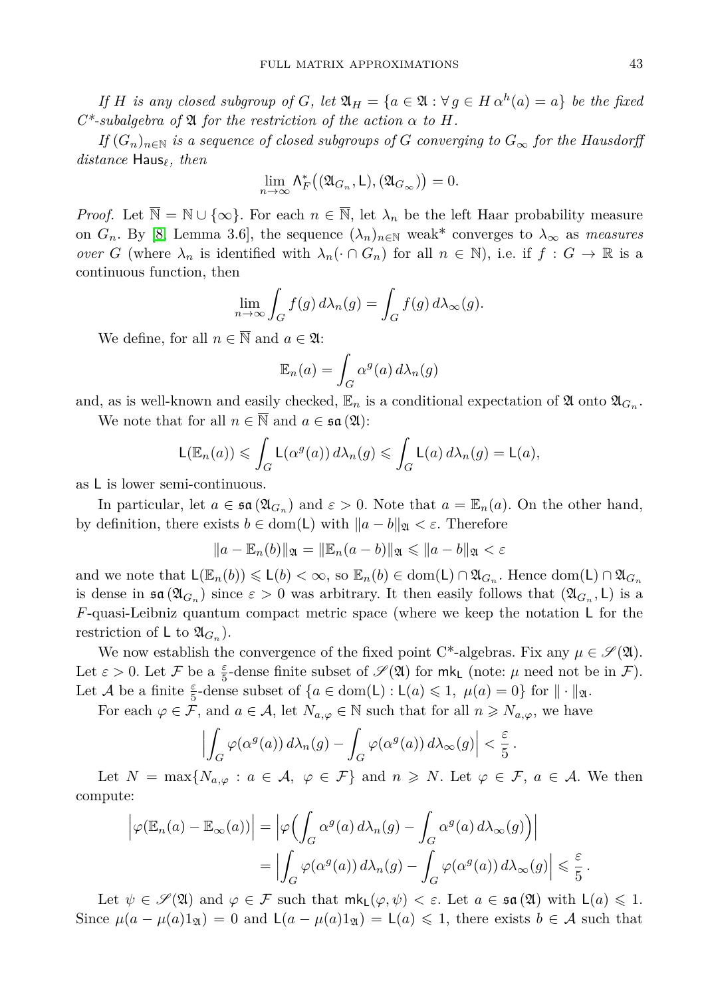*If H is any closed subgroup of G, let*  $\mathfrak{A}_H = \{a \in \mathfrak{A} : \forall g \in H \, \alpha^h(a) = a\}$  *be the fixed*  $C^*$ -subalgebra of  $\mathfrak A$  *for the restriction* of the action  $\alpha$  *to*  $H$ *.* 

*If*  $(G_n)_{n \in \mathbb{N}}$  *is a sequence of closed subgroups of G converging to*  $G_{\infty}$  *for the Hausdorff distance* Haus*`, then*

$$
\lim_{n\to\infty}\Lambda_F^*\big((\mathfrak{A}_{G_n},\mathsf{L}),(\mathfrak{A}_{G_\infty})\big)=0.
$$

*Proof.* Let  $\overline{\mathbb{N}} = \mathbb{N} \cup \{\infty\}$ . For each  $n \in \overline{\mathbb{N}}$ , let  $\lambda_n$  be the left Haar probability measure on  $G_n$ . By [\[8,](#page-10-13) Lemma 3.6], the sequence  $(\lambda_n)_{n\in\mathbb{N}}$  weak\* converges to  $\lambda_\infty$  as *measures over G* (where  $\lambda_n$  is identified with  $\lambda_n(\cdot \cap G_n)$  for all  $n \in \mathbb{N}$ ), i.e. if  $f : G \to \mathbb{R}$  is a continuous function, then

$$
\lim_{n \to \infty} \int_G f(g) d\lambda_n(g) = \int_G f(g) d\lambda_\infty(g).
$$

We define, for all  $n \in \overline{\mathbb{N}}$  and  $a \in \mathfrak{A}$ :

$$
\mathbb{E}_n(a) = \int_G \alpha^g(a) d\lambda_n(g)
$$

and, as is well-known and easily checked,  $\mathbb{E}_n$  is a conditional expectation of  $\mathfrak A$  onto  $\mathfrak A_{G_n}$ .

We note that for all  $n \in \overline{\mathbb{N}}$  and  $a \in \mathfrak{sa}(\mathfrak{A})$ :

$$
\mathsf{L}(\mathbb{E}_n(a)) \leq \int_G \mathsf{L}(\alpha^g(a)) d\lambda_n(g) \leq \int_G \mathsf{L}(a) d\lambda_n(g) = \mathsf{L}(a),
$$

as L is lower semi-continuous.

In particular, let  $a \in \mathfrak{sa}(\mathfrak{A}_{G_n})$  and  $\varepsilon > 0$ . Note that  $a = \mathbb{E}_n(a)$ . On the other hand, by definition, there exists  $b \in \text{dom}(\mathsf{L})$  with  $\|a - b\|_{\mathfrak{A}} < \varepsilon$ . Therefore

$$
||a - \mathbb{E}_n(b)||_{\mathfrak{A}} = ||\mathbb{E}_n(a - b)||_{\mathfrak{A}} \le ||a - b||_{\mathfrak{A}} < \varepsilon
$$

and we note that  $L(\mathbb{E}_n(b)) \le L(b) < \infty$ , so  $\mathbb{E}_n(b) \in \text{dom}(L) \cap \mathfrak{A}_{G_n}$ . Hence  $\text{dom}(L) \cap \mathfrak{A}_{G_n}$ is dense in  $\mathfrak{sa}(\mathfrak{A}_{G_n})$  since  $\varepsilon > 0$  was arbitrary. It then easily follows that  $(\mathfrak{A}_{G_n}, \mathsf{L})$  is a *F*-quasi-Leibniz quantum compact metric space (where we keep the notation L for the restriction of  $\mathsf{L}$  to  $\mathfrak{A}_{G_n}$ ).

We now establish the convergence of the fixed point C<sup>\*</sup>-algebras. Fix any  $\mu \in \mathcal{S}(\mathfrak{A})$ . Let  $\varepsilon > 0$ . Let  $\mathcal F$  be a  $\frac{\varepsilon}{5}$ -dense finite subset of  $\mathscr S(\mathfrak A)$  for  $\mathsf{mk}_\mathsf{L}$  (note:  $\mu$  need not be in  $\mathcal F$ ). Let A be a finite  $\frac{\varepsilon}{5}$ -dense subset of  $\{a \in \text{dom}(\mathsf{L}): \mathsf{L}(a) \leq 1, \ \mu(a) = 0\}$  for  $\|\cdot\|_{\mathfrak{A}}$ .

For each  $\varphi \in \mathcal{F}$ , and  $a \in \mathcal{A}$ , let  $N_{a,\varphi} \in \mathbb{N}$  such that for all  $n \geq N_{a,\varphi}$ , we have

$$
\left| \int_G \varphi(\alpha^g(a)) \, d\lambda_n(g) - \int_G \varphi(\alpha^g(a)) \, d\lambda_\infty(g) \right| < \frac{\varepsilon}{5} \, .
$$

Let  $N = \max\{N_{a,\varphi} : a \in \mathcal{A}, \varphi \in \mathcal{F}\}\$ and  $n \geq N$ . Let  $\varphi \in \mathcal{F}, a \in \mathcal{A}$ . We then compute:

$$
\left| \varphi(\mathbb{E}_n(a) - \mathbb{E}_{\infty}(a)) \right| = \left| \varphi \left( \int_G \alpha^g(a) \, d\lambda_n(g) - \int_G \alpha^g(a) \, d\lambda_\infty(g) \right) \right|
$$
  
= 
$$
\left| \int_G \varphi(\alpha^g(a)) \, d\lambda_n(g) - \int_G \varphi(\alpha^g(a)) \, d\lambda_\infty(g) \right| \leq \frac{\varepsilon}{5}
$$

Let  $\psi \in \mathscr{S}(\mathfrak{A})$  and  $\varphi \in \mathcal{F}$  such that  $\mathsf{mk}_\mathsf{L}(\varphi, \psi) < \varepsilon$ . Let  $a \in \mathfrak{sa}(\mathfrak{A})$  with  $\mathsf{L}(a) \leq 1$ . Since  $\mu(a - \mu(a)1_{\mathfrak{A}}) = 0$  and  $\mathsf{L}(a - \mu(a)1_{\mathfrak{A}}) = \mathsf{L}(a) \leq 1$ , there exists  $b \in \mathcal{A}$  such that

*.*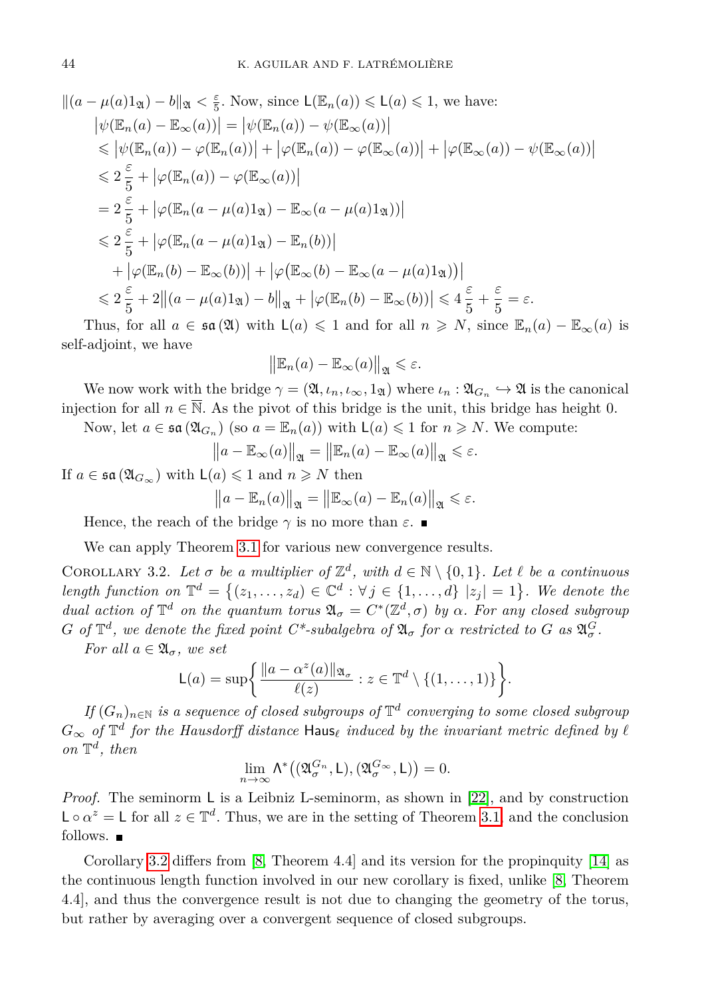$$
\| (a - \mu(a)\mathbf{1}_{\mathfrak{A}}) - b \|_{\mathfrak{A}} < \frac{\varepsilon}{5}. \text{ Now, since } \mathsf{L}(\mathbb{E}_n(a)) \leq \mathsf{L}(a) \leq 1, \text{ we have:}
$$
\n
$$
|\psi(\mathbb{E}_n(a) - \mathbb{E}_{\infty}(a))| = |\psi(\mathbb{E}_n(a)) - \psi(\mathbb{E}_{\infty}(a))|
$$
\n
$$
\leq |\psi(\mathbb{E}_n(a)) - \varphi(\mathbb{E}_n(a))| + |\varphi(\mathbb{E}_n(a)) - \varphi(\mathbb{E}_{\infty}(a))| + |\varphi(\mathbb{E}_{\infty}(a)) - \psi(\mathbb{E}_{\infty}(a))|
$$
\n
$$
\leq 2\frac{\varepsilon}{5} + |\varphi(\mathbb{E}_n(a) - \varphi(\mathbb{E}_{\infty}(a))|
$$
\n
$$
= 2\frac{\varepsilon}{5} + |\varphi(\mathbb{E}_n(a - \mu(a)\mathbf{1}_{\mathfrak{A}}) - \mathbb{E}_{\infty}(a - \mu(a)\mathbf{1}_{\mathfrak{A}}))|
$$
\n
$$
\leq 2\frac{\varepsilon}{5} + |\varphi(\mathbb{E}_n(a - \mu(a)\mathbf{1}_{\mathfrak{A}}) - \mathbb{E}_n(b))|
$$
\n
$$
+ |\varphi(\mathbb{E}_n(b) - \mathbb{E}_{\infty}(b))| + |\varphi(\mathbb{E}_{\infty}(b) - \mathbb{E}_{\infty}(a - \mu(a)\mathbf{1}_{\mathfrak{A}}))|
$$
\n
$$
\leq 2\frac{\varepsilon}{5} + 2||(a - \mu(a)\mathbf{1}_{\mathfrak{A}}) - b||_{\mathfrak{A}} + |\varphi(\mathbb{E}_n(b) - \mathbb{E}_{\infty}(b))| \leq 4\frac{\varepsilon}{5} + \frac{\varepsilon}{5} = \varepsilon.
$$

Thus, for all  $a \in \mathfrak{sa}(\mathfrak{A})$  with  $\mathsf{L}(a) \leq 1$  and for all  $n \geq N$ , since  $\mathbb{E}_n(a) - \mathbb{E}_{\infty}(a)$  is self-adjoint, we have

$$
\left\|\mathbb{E}_n(a)-\mathbb{E}_{\infty}(a)\right\|_{\mathfrak{A}}\leqslant \varepsilon.
$$

We now work with the bridge  $\gamma = (\mathfrak{A}, \iota_n, \iota_\infty, 1_\mathfrak{A})$  where  $\iota_n : \mathfrak{A}_{G_n} \hookrightarrow \mathfrak{A}$  is the canonical injection for all  $n \in \overline{\mathbb{N}}$ . As the pivot of this bridge is the unit, this bridge has height 0.

Now, let  $a \in \mathfrak{sa}(\mathfrak{A}_{G_n})$  (so  $a = \mathbb{E}_n(a)$ ) with  $\mathsf{L}(a) \leq 1$  for  $n \geq N$ . We compute:

$$
||a - \mathbb{E}_{\infty}(a)||_{\mathfrak{A}} = ||\mathbb{E}_{n}(a) - \mathbb{E}_{\infty}(a)||_{\mathfrak{A}} \leq \varepsilon.
$$

If  $a \in \mathfrak{sa}(\mathfrak{A}_{G_\infty})$  with  $\mathsf{L}(a) \leq 1$  and  $n \geq N$  then

$$
||a - \mathbb{E}_n(a)||_{\mathfrak{A}} = ||\mathbb{E}_{\infty}(a) - \mathbb{E}_n(a)||_{\mathfrak{A}} \leq \varepsilon.
$$

Hence, the reach of the bridge  $\gamma$  is no more than  $\varepsilon$ .

We can apply Theorem [3.1](#page-7-0) for various new convergence results.

<span id="page-9-0"></span>COROLLARY 3.2. Let  $\sigma$  be a multiplier of  $\mathbb{Z}^d$ , with  $d \in \mathbb{N} \setminus \{0,1\}$ . Let  $\ell$  be a continuous length function on  $\mathbb{T}^d = \{(z_1, \ldots, z_d) \in \mathbb{C}^d : \forall j \in \{1, \ldots, d\} \mid z_j \mid = 1\}$ . We denote the *dual action of*  $\mathbb{T}^d$  *on the quantum torus*  $\mathfrak{A}_{\sigma} = C^*(\mathbb{Z}^d, \sigma)$  *by*  $\alpha$ *. For any closed subgroup*  $G$  *of*  $\mathbb{T}^d$ , we denote the fixed point  $C^*$ -subalgebra of  $\mathfrak{A}_{\sigma}$  for  $\alpha$  restricted to  $G$  as  $\mathfrak{A}_{\sigma}^G$ .

*For all*  $a \in \mathfrak{A}_{\sigma}$ *, we set* 

$$
\mathsf{L}(a) = \sup \bigg\{ \frac{\|a - \alpha^z(a)\|_{\mathfrak{A}_{\sigma}}}{\ell(z)} : z \in \mathbb{T}^d \setminus \{(1, \ldots, 1)\} \bigg\}.
$$

 $If$   $(G_n)_{n\in\mathbb{N}}$  *is a sequence of closed subgroups of*  $\mathbb{T}^d$  *converging to some closed subgroup*  $G_{\infty}$  of  $\mathbb{T}^d$  for the Hausdorff distance Haus<sub>*i*</sub> induced by the invariant metric defined by  $\ell$  $\mathbb{R}^d$ , then

$$
\lim_{n\to\infty}\Lambda^*\big((\mathfrak{A}_\sigma^{G_n},\mathsf{L}),(\mathfrak{A}_\sigma^{G_\infty},\mathsf{L})\big)=0.
$$

*Proof.* The seminorm L is a Leibniz L-seminorm, as shown in [\[22\]](#page-11-4), and by construction  $\mathsf{L} \circ \alpha^z = \mathsf{L}$  for all  $z \in \mathbb{T}^d$ . Thus, we are in the setting of Theorem [3.1,](#page-7-0) and the conclusion follows.  $\blacksquare$ 

Corollary [3.2](#page-9-0) differs from [\[8,](#page-10-13) Theorem 4.4] and its version for the propinquity [\[14\]](#page-10-14) as the continuous length function involved in our new corollary is fixed, unlike [\[8,](#page-10-13) Theorem 4.4], and thus the convergence result is not due to changing the geometry of the torus, but rather by averaging over a convergent sequence of closed subgroups.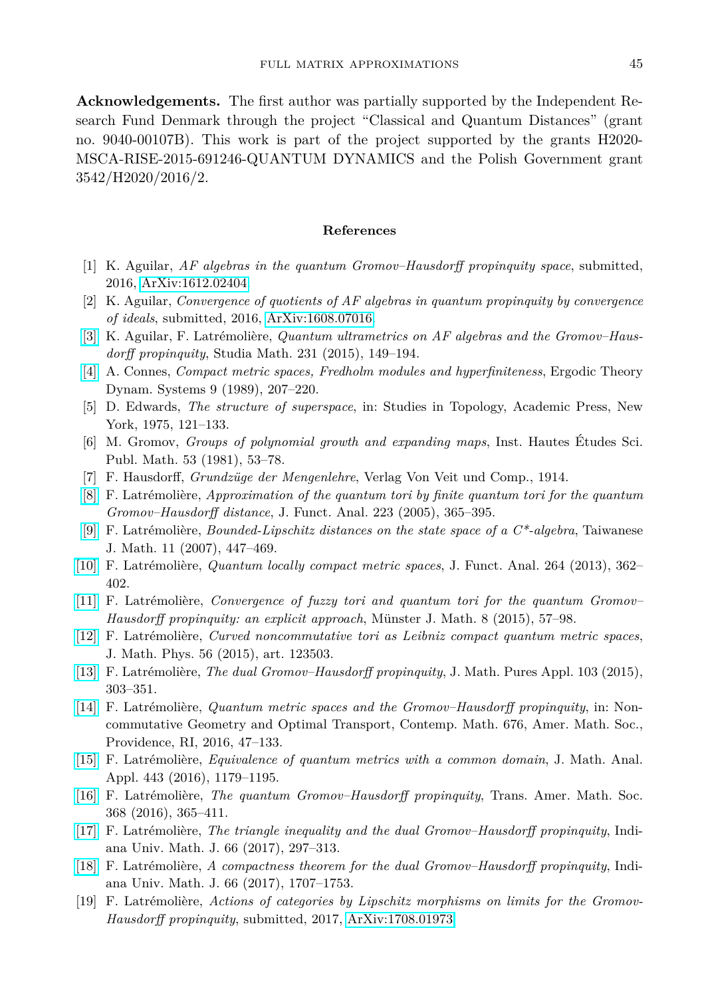**Acknowledgements.** The first author was partially supported by the Independent Research Fund Denmark through the project "Classical and Quantum Distances" (grant no. 9040-00107B). This work is part of the project supported by the grants H2020- MSCA-RISE-2015-691246-QUANTUM DYNAMICS and the Polish Government grant 3542/H2020/2016/2.

## **References**

- <span id="page-10-4"></span>[1] K. Aguilar, *AF algebras in the quantum Gromov–Hausdorff propinquity space*, submitted, 2016, [ArXiv:1612.02404.](http://arxiv.org/abs/1612.02404)
- <span id="page-10-5"></span>[2] K. Aguilar, *Convergence of quotients of AF algebras in quantum propinquity by convergence of ideals*, submitted, 2016, [ArXiv:1608.07016.](http://arxiv.org/abs/1608.07016)
- <span id="page-10-6"></span>[\[3\]](http://dx.doi.org/10.4064/sm8478-2-2016) K. Aguilar, F. Latrémolière, *Quantum ultrametrics on AF algebras and the Gromov–Hausdorff propinquity*, Studia Math. 231 (2015), 149–194.
- <span id="page-10-8"></span>[\[4\]](http://dx.doi.org/10.1017/S0143385700004934) A. Connes, *Compact metric spaces, Fredholm modules and hyperfiniteness*, Ergodic Theory Dynam. Systems 9 (1989), 207–220.
- <span id="page-10-16"></span>[5] D. Edwards, *The structure of superspace*, in: Studies in Topology, Academic Press, New York, 1975, 121–133.
- <span id="page-10-17"></span>[6] M. Gromov, *Groups of polynomial growth and expanding maps*, Inst. Hautes Études Sci. Publ. Math. 53 (1981), 53–78.
- <span id="page-10-15"></span>[7] F. Hausdorff, *Grundzüge der Mengenlehre*, Verlag Von Veit und Comp., 1914.
- <span id="page-10-13"></span>[\[8\]](http://dx.doi.org/10.1016/j.jfa.2005.01.003) F. Latrémolière, *Approximation of the quantum tori by finite quantum tori for the quantum Gromov–Hausdorff distance*, J. Funct. Anal. 223 (2005), 365–395.
- <span id="page-10-11"></span>[\[9\]](http://dx.doi.org/10.11650/twjm/1500404701) F. Latrémolière, *Bounded-Lipschitz distances on the state space of a C\*-algebra*, Taiwanese J. Math. 11 (2007), 447–469.
- <span id="page-10-12"></span>[\[10\]](http://dx.doi.org/10.1016/j.jfa.2012.10.016) F. Latrémolière, *Quantum locally compact metric spaces*, J. Funct. Anal. 264 (2013), 362– 402.
- <span id="page-10-3"></span>[\[11\]](http://dx.doi.org/10.17879/65219678202) F. Latrémolière, *Convergence of fuzzy tori and quantum tori for the quantum Gromov– Hausdorff propinquity: an explicit approach*, Münster J. Math. 8 (2015), 57–98.
- <span id="page-10-7"></span>[\[12\]](http://dx.doi.org/10.1063/1.4937444) F. Latrémolière, *Curved noncommutative tori as Leibniz compact quantum metric spaces*, J. Math. Phys. 56 (2015), art. 123503.
- <span id="page-10-1"></span>[\[13\]](http://dx.doi.org/10.1016/j.matpur.2014.04.006) F. Latrémolière, *The dual Gromov–Hausdorff propinquity*, J. Math. Pures Appl. 103 (2015), 303–351.
- <span id="page-10-14"></span>[\[14\]](http://dx.doi.org/10.1090/conm/676/13608) F. Latrémolière, *Quantum metric spaces and the Gromov–Hausdorff propinquity*, in: Noncommutative Geometry and Optimal Transport, Contemp. Math. 676, Amer. Math. Soc., Providence, RI, 2016, 47–133.
- <span id="page-10-10"></span>[\[15\]](http://dx.doi.org/10.1016/j.jmaa.2016.05.045) F. Latrémolière, *Equivalence of quantum metrics with a common domain*, J. Math. Anal. Appl. 443 (2016), 1179–1195.
- <span id="page-10-0"></span>[\[16\]](http://dx.doi.org/10.1090/tran/6334) F. Latrémolière, *The quantum Gromov–Hausdorff propinquity*, Trans. Amer. Math. Soc. 368 (2016), 365–411.
- <span id="page-10-2"></span>[\[17\]](http://dx.doi.org/10.1512/iumj.2017.66.5954) F. Latrémolière, *The triangle inequality and the dual Gromov–Hausdorff propinquity*, Indiana Univ. Math. J. 66 (2017), 297–313.
- <span id="page-10-9"></span>[\[18\]](http://dx.doi.org/10.1512/iumj.2017.66.6151) F. Latrémolière, *A compactness theorem for the dual Gromov–Hausdorff propinquity*, Indiana Univ. Math. J. 66 (2017), 1707–1753.
- <span id="page-10-18"></span>[19] F. Latrémolière, *Actions of categories by Lipschitz morphisms on limits for the Gromov-Hausdorff propinquity*, submitted, 2017, [ArXiv:1708.01973.](http://arxiv.org/abs/1708.01973)